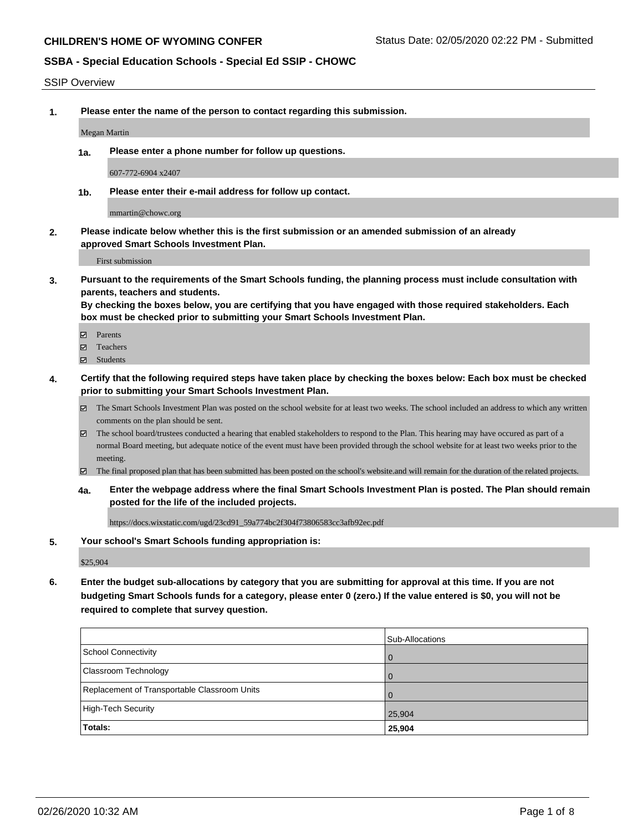#### SSIP Overview

**1. Please enter the name of the person to contact regarding this submission.**

Megan Martin

**1a. Please enter a phone number for follow up questions.**

607-772-6904 x2407

**1b. Please enter their e-mail address for follow up contact.**

mmartin@chowc.org

**2. Please indicate below whether this is the first submission or an amended submission of an already approved Smart Schools Investment Plan.**

First submission

**3. Pursuant to the requirements of the Smart Schools funding, the planning process must include consultation with parents, teachers and students.**

**By checking the boxes below, you are certifying that you have engaged with those required stakeholders. Each box must be checked prior to submitting your Smart Schools Investment Plan.**

- Parents
- Teachers
- Students
- **4. Certify that the following required steps have taken place by checking the boxes below: Each box must be checked prior to submitting your Smart Schools Investment Plan.**
	- The Smart Schools Investment Plan was posted on the school website for at least two weeks. The school included an address to which any written comments on the plan should be sent.
	- The school board/trustees conducted a hearing that enabled stakeholders to respond to the Plan. This hearing may have occured as part of a normal Board meeting, but adequate notice of the event must have been provided through the school website for at least two weeks prior to the meeting.
	- The final proposed plan that has been submitted has been posted on the school's website.and will remain for the duration of the related projects.
	- **4a. Enter the webpage address where the final Smart Schools Investment Plan is posted. The Plan should remain posted for the life of the included projects.**

https://docs.wixstatic.com/ugd/23cd91\_59a774bc2f304f73806583cc3afb92ec.pdf

#### **5. Your school's Smart Schools funding appropriation is:**

\$25,904

**6. Enter the budget sub-allocations by category that you are submitting for approval at this time. If you are not budgeting Smart Schools funds for a category, please enter 0 (zero.) If the value entered is \$0, you will not be required to complete that survey question.**

|                                              | Sub-Allocations |
|----------------------------------------------|-----------------|
| School Connectivity                          | . O             |
| <b>Classroom Technology</b>                  | $\Omega$        |
| Replacement of Transportable Classroom Units | $\overline{0}$  |
| High-Tech Security                           | 25,904          |
| Totals:                                      | 25,904          |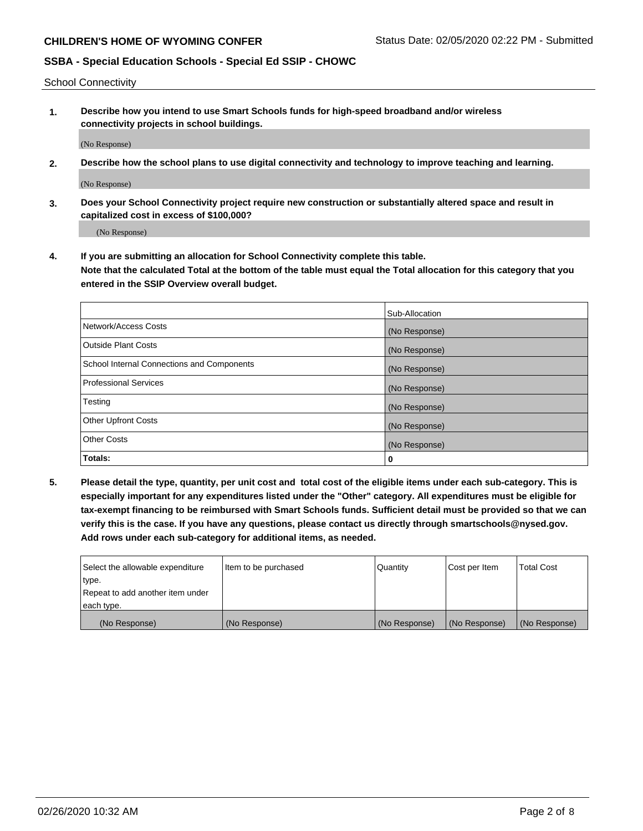School Connectivity

**1. Describe how you intend to use Smart Schools funds for high-speed broadband and/or wireless connectivity projects in school buildings.**

(No Response)

**2. Describe how the school plans to use digital connectivity and technology to improve teaching and learning.**

(No Response)

**3. Does your School Connectivity project require new construction or substantially altered space and result in capitalized cost in excess of \$100,000?**

(No Response)

**4. If you are submitting an allocation for School Connectivity complete this table. Note that the calculated Total at the bottom of the table must equal the Total allocation for this category that you entered in the SSIP Overview overall budget.** 

|                                            | Sub-Allocation |
|--------------------------------------------|----------------|
| Network/Access Costs                       | (No Response)  |
| Outside Plant Costs                        | (No Response)  |
| School Internal Connections and Components | (No Response)  |
| Professional Services                      | (No Response)  |
| Testing                                    | (No Response)  |
| <b>Other Upfront Costs</b>                 | (No Response)  |
| <b>Other Costs</b>                         | (No Response)  |
| Totals:                                    | 0              |

**5. Please detail the type, quantity, per unit cost and total cost of the eligible items under each sub-category. This is especially important for any expenditures listed under the "Other" category. All expenditures must be eligible for tax-exempt financing to be reimbursed with Smart Schools funds. Sufficient detail must be provided so that we can verify this is the case. If you have any questions, please contact us directly through smartschools@nysed.gov. Add rows under each sub-category for additional items, as needed.**

| each type.<br>(No Response)      | (No Response)          | (No Response) | (No Response) | (No Response)     |
|----------------------------------|------------------------|---------------|---------------|-------------------|
|                                  |                        |               |               |                   |
| Repeat to add another item under |                        |               |               |                   |
| ∣type.                           |                        |               |               |                   |
| Select the allowable expenditure | I Item to be purchased | Quantity      | Cost per Item | <b>Total Cost</b> |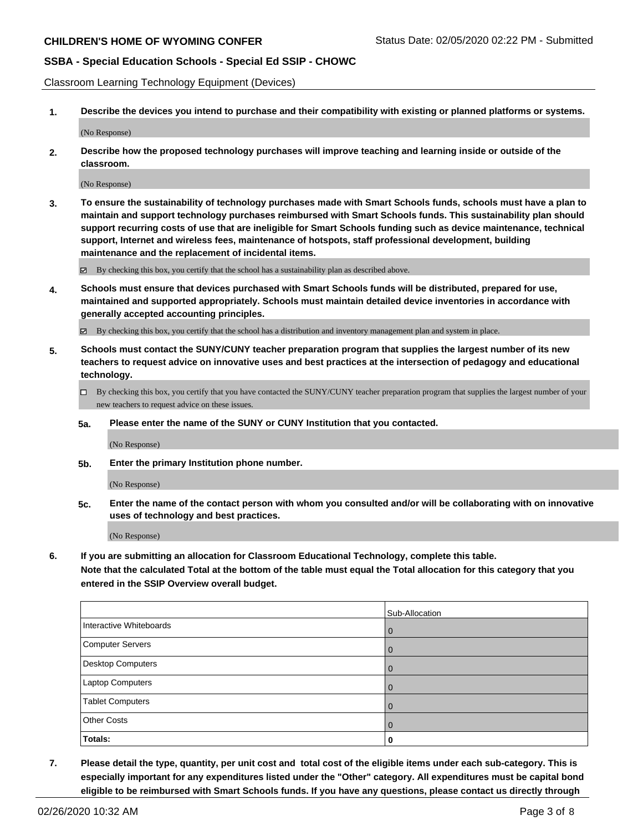Classroom Learning Technology Equipment (Devices)

**1. Describe the devices you intend to purchase and their compatibility with existing or planned platforms or systems.**

(No Response)

**2. Describe how the proposed technology purchases will improve teaching and learning inside or outside of the classroom.**

(No Response)

**3. To ensure the sustainability of technology purchases made with Smart Schools funds, schools must have a plan to maintain and support technology purchases reimbursed with Smart Schools funds. This sustainability plan should support recurring costs of use that are ineligible for Smart Schools funding such as device maintenance, technical support, Internet and wireless fees, maintenance of hotspots, staff professional development, building maintenance and the replacement of incidental items.**

By checking this box, you certify that the school has a sustainability plan as described above.

**4. Schools must ensure that devices purchased with Smart Schools funds will be distributed, prepared for use, maintained and supported appropriately. Schools must maintain detailed device inventories in accordance with generally accepted accounting principles.**

By checking this box, you certify that the school has a distribution and inventory management plan and system in place.

- **5. Schools must contact the SUNY/CUNY teacher preparation program that supplies the largest number of its new teachers to request advice on innovative uses and best practices at the intersection of pedagogy and educational technology.**
	- By checking this box, you certify that you have contacted the SUNY/CUNY teacher preparation program that supplies the largest number of your new teachers to request advice on these issues.
	- **5a. Please enter the name of the SUNY or CUNY Institution that you contacted.**

(No Response)

**5b. Enter the primary Institution phone number.**

(No Response)

**5c. Enter the name of the contact person with whom you consulted and/or will be collaborating with on innovative uses of technology and best practices.**

(No Response)

**6. If you are submitting an allocation for Classroom Educational Technology, complete this table.**

**Note that the calculated Total at the bottom of the table must equal the Total allocation for this category that you entered in the SSIP Overview overall budget.**

|                          | Sub-Allocation |
|--------------------------|----------------|
| Interactive Whiteboards  | l O            |
| Computer Servers         |                |
| <b>Desktop Computers</b> |                |
| <b>Laptop Computers</b>  |                |
| <b>Tablet Computers</b>  |                |
| <b>Other Costs</b>       |                |
| Totals:                  | 0              |

**7. Please detail the type, quantity, per unit cost and total cost of the eligible items under each sub-category. This is especially important for any expenditures listed under the "Other" category. All expenditures must be capital bond eligible to be reimbursed with Smart Schools funds. If you have any questions, please contact us directly through**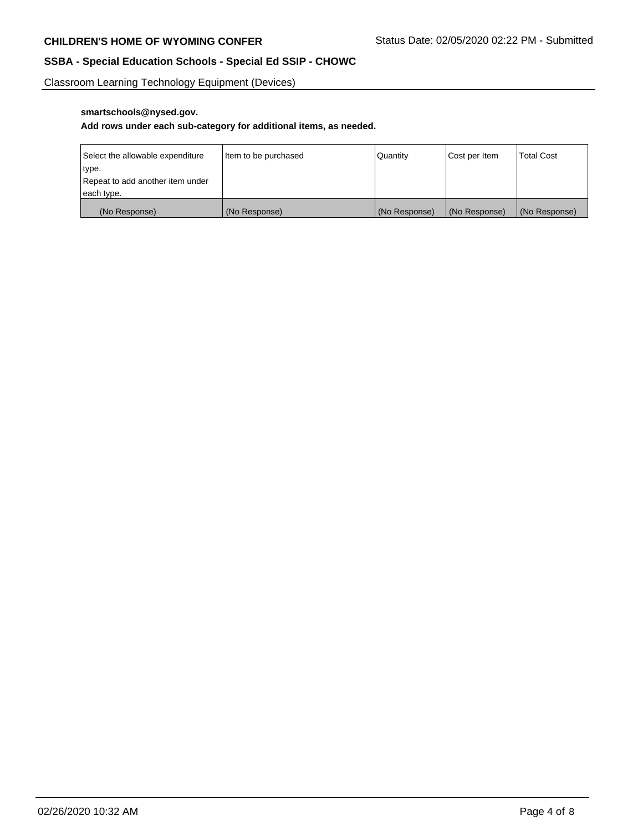Classroom Learning Technology Equipment (Devices)

# **smartschools@nysed.gov.**

# **Add rows under each sub-category for additional items, as needed.**

| Select the allowable expenditure | Item to be purchased | Quantity      | Cost per Item | <b>Total Cost</b> |
|----------------------------------|----------------------|---------------|---------------|-------------------|
| type.                            |                      |               |               |                   |
| Repeat to add another item under |                      |               |               |                   |
| each type.                       |                      |               |               |                   |
| (No Response)                    | (No Response)        | (No Response) | (No Response) | (No Response)     |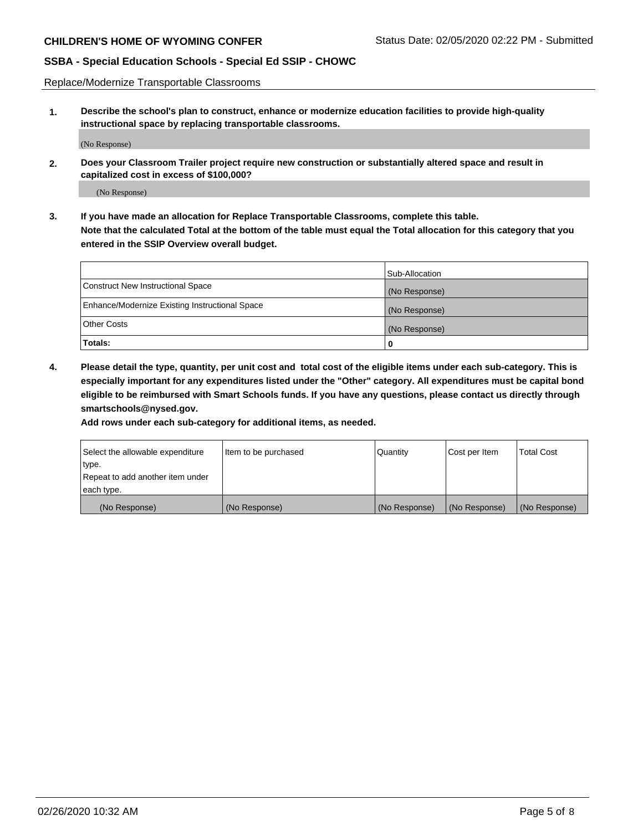Replace/Modernize Transportable Classrooms

**1. Describe the school's plan to construct, enhance or modernize education facilities to provide high-quality instructional space by replacing transportable classrooms.**

(No Response)

**2. Does your Classroom Trailer project require new construction or substantially altered space and result in capitalized cost in excess of \$100,000?**

(No Response)

**3. If you have made an allocation for Replace Transportable Classrooms, complete this table. Note that the calculated Total at the bottom of the table must equal the Total allocation for this category that you entered in the SSIP Overview overall budget.**

|                                                | Sub-Allocation |
|------------------------------------------------|----------------|
| Construct New Instructional Space              | (No Response)  |
| Enhance/Modernize Existing Instructional Space | (No Response)  |
| Other Costs                                    | (No Response)  |
| Totals:                                        | 0              |

**4. Please detail the type, quantity, per unit cost and total cost of the eligible items under each sub-category. This is especially important for any expenditures listed under the "Other" category. All expenditures must be capital bond eligible to be reimbursed with Smart Schools funds. If you have any questions, please contact us directly through smartschools@nysed.gov.**

**Add rows under each sub-category for additional items, as needed.**

| Select the allowable expenditure | Item to be purchased | Quantity      | Cost per Item | <b>Total Cost</b> |
|----------------------------------|----------------------|---------------|---------------|-------------------|
| 'type.                           |                      |               |               |                   |
| Repeat to add another item under |                      |               |               |                   |
| each type.                       |                      |               |               |                   |
| (No Response)                    | (No Response)        | (No Response) | (No Response) | (No Response)     |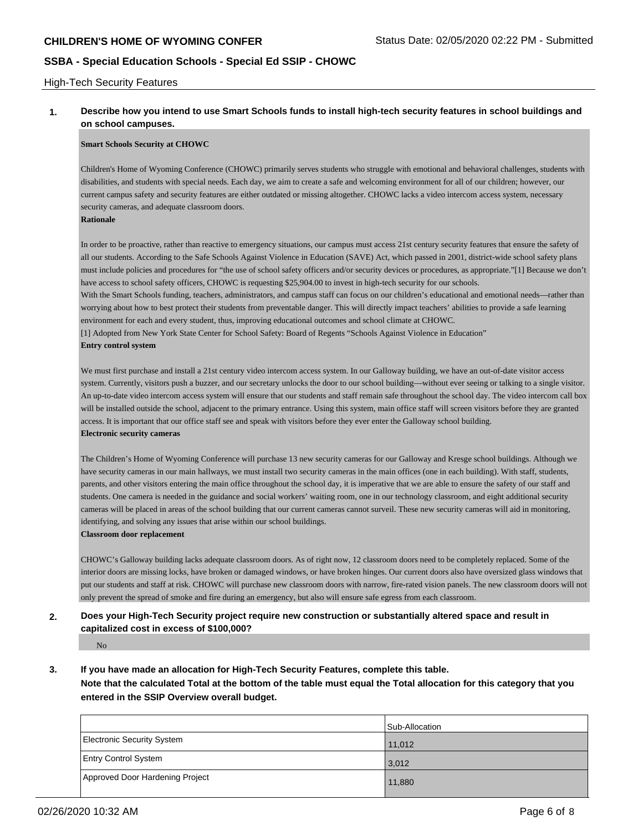#### High-Tech Security Features

## **1. Describe how you intend to use Smart Schools funds to install high-tech security features in school buildings and on school campuses.**

#### **Smart Schools Security at CHOWC**

Children's Home of Wyoming Conference (CHOWC) primarily serves students who struggle with emotional and behavioral challenges, students with disabilities, and students with special needs. Each day, we aim to create a safe and welcoming environment for all of our children; however, our current campus safety and security features are either outdated or missing altogether. CHOWC lacks a video intercom access system, necessary security cameras, and adequate classroom doors.

#### **Rationale**

In order to be proactive, rather than reactive to emergency situations, our campus must access 21st century security features that ensure the safety of all our students. According to the Safe Schools Against Violence in Education (SAVE) Act, which passed in 2001, district-wide school safety plans must include policies and procedures for "the use of school safety officers and/or security devices or procedures, as appropriate."[1] Because we don't have access to school safety officers, CHOWC is requesting \$25,904.00 to invest in high-tech security for our schools.

With the Smart Schools funding, teachers, administrators, and campus staff can focus on our children's educational and emotional needs—rather than worrying about how to best protect their students from preventable danger. This will directly impact teachers' abilities to provide a safe learning environment for each and every student, thus, improving educational outcomes and school climate at CHOWC.

[1] Adopted from New York State Center for School Safety: Board of Regents "Schools Against Violence in Education" **Entry control system**

We must first purchase and install a 21st century video intercom access system. In our Galloway building, we have an out-of-date visitor access system. Currently, visitors push a buzzer, and our secretary unlocks the door to our school building—without ever seeing or talking to a single visitor. An up-to-date video intercom access system will ensure that our students and staff remain safe throughout the school day. The video intercom call box will be installed outside the school, adjacent to the primary entrance. Using this system, main office staff will screen visitors before they are granted access. It is important that our office staff see and speak with visitors before they ever enter the Galloway school building. **Electronic security cameras**

The Children's Home of Wyoming Conference will purchase 13 new security cameras for our Galloway and Kresge school buildings. Although we have security cameras in our main hallways, we must install two security cameras in the main offices (one in each building). With staff, students, parents, and other visitors entering the main office throughout the school day, it is imperative that we are able to ensure the safety of our staff and students. One camera is needed in the guidance and social workers' waiting room, one in our technology classroom, and eight additional security cameras will be placed in areas of the school building that our current cameras cannot surveil. These new security cameras will aid in monitoring, identifying, and solving any issues that arise within our school buildings.

#### **Classroom door replacement**

CHOWC's Galloway building lacks adequate classroom doors. As of right now, 12 classroom doors need to be completely replaced. Some of the interior doors are missing locks, have broken or damaged windows, or have broken hinges. Our current doors also have oversized glass windows that put our students and staff at risk. CHOWC will purchase new classroom doors with narrow, fire-rated vision panels. The new classroom doors will not only prevent the spread of smoke and fire during an emergency, but also will ensure safe egress from each classroom.

### **2. Does your High-Tech Security project require new construction or substantially altered space and result in capitalized cost in excess of \$100,000?**

No

# **3. If you have made an allocation for High-Tech Security Features, complete this table.**

**Note that the calculated Total at the bottom of the table must equal the Total allocation for this category that you entered in the SSIP Overview overall budget.**

|                                 | Sub-Allocation |
|---------------------------------|----------------|
| Electronic Security System      | 11,012         |
| <b>Entry Control System</b>     | 3,012          |
| Approved Door Hardening Project | 11,880         |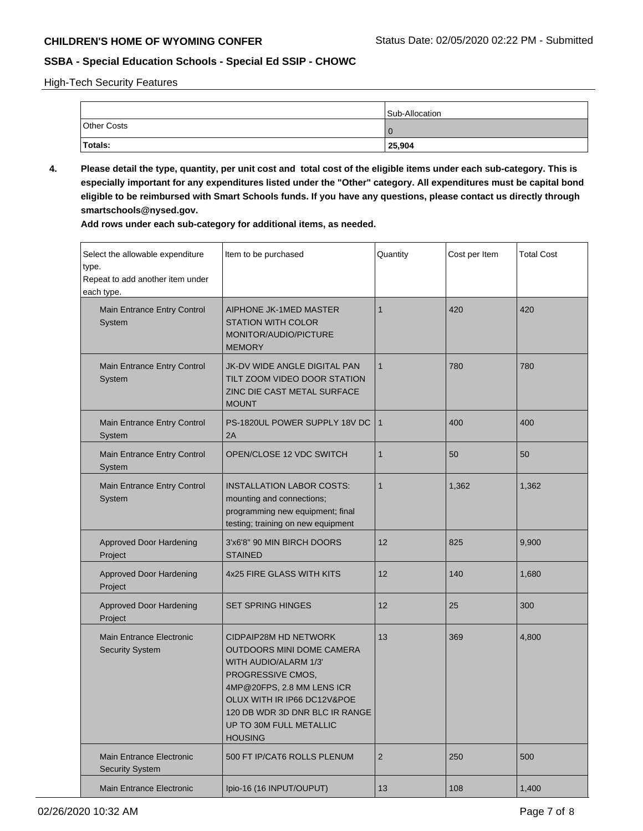High-Tech Security Features

|             | Sub-Allocation |
|-------------|----------------|
| Other Costs |                |
| Totals:     | 25,904         |

**4. Please detail the type, quantity, per unit cost and total cost of the eligible items under each sub-category. This is especially important for any expenditures listed under the "Other" category. All expenditures must be capital bond eligible to be reimbursed with Smart Schools funds. If you have any questions, please contact us directly through smartschools@nysed.gov.**

**Add rows under each sub-category for additional items, as needed.**

| Select the allowable expenditure<br>type.<br>Repeat to add another item under<br>each type. | Item to be purchased                                                                                                                                                                                                                                | Quantity     | Cost per Item | <b>Total Cost</b> |
|---------------------------------------------------------------------------------------------|-----------------------------------------------------------------------------------------------------------------------------------------------------------------------------------------------------------------------------------------------------|--------------|---------------|-------------------|
| Main Entrance Entry Control<br>System                                                       | AIPHONE JK-1MED MASTER<br><b>STATION WITH COLOR</b><br>MONITOR/AUDIO/PICTURE<br><b>MEMORY</b>                                                                                                                                                       | $\mathbf{1}$ | 420           | 420               |
| Main Entrance Entry Control<br>System                                                       | JK-DV WIDE ANGLE DIGITAL PAN<br>TILT ZOOM VIDEO DOOR STATION<br>ZINC DIE CAST METAL SURFACE<br><b>MOUNT</b>                                                                                                                                         | $\mathbf{1}$ | 780           | 780               |
| Main Entrance Entry Control<br>System                                                       | PS-1820UL POWER SUPPLY 18V DC<br>2Α                                                                                                                                                                                                                 | $\mathbf{1}$ | 400           | 400               |
| Main Entrance Entry Control<br>System                                                       | OPEN/CLOSE 12 VDC SWITCH                                                                                                                                                                                                                            | $\mathbf{1}$ | 50            | 50                |
| Main Entrance Entry Control<br>System                                                       | <b>INSTALLATION LABOR COSTS:</b><br>mounting and connections;<br>programming new equipment; final<br>testing; training on new equipment                                                                                                             | 1            | 1,362         | 1,362             |
| <b>Approved Door Hardening</b><br>Project                                                   | 3'x6'8" 90 MIN BIRCH DOORS<br><b>STAINED</b>                                                                                                                                                                                                        | 12           | 825           | 9,900             |
| <b>Approved Door Hardening</b><br>Project                                                   | 4x25 FIRE GLASS WITH KITS                                                                                                                                                                                                                           | 12           | 140           | 1,680             |
| <b>Approved Door Hardening</b><br>Project                                                   | <b>SET SPRING HINGES</b>                                                                                                                                                                                                                            | 12           | 25            | 300               |
| <b>Main Entrance Electronic</b><br><b>Security System</b>                                   | <b>CIDPAIP28M HD NETWORK</b><br>OUTDOORS MINI DOME CAMERA<br>WITH AUDIO/ALARM 1/3'<br>PROGRESSIVE CMOS,<br>4MP@20FPS, 2.8 MM LENS ICR<br>OLUX WITH IR IP66 DC12V&POE<br>120 DB WDR 3D DNR BLC IR RANGE<br>UP TO 30M FULL METALLIC<br><b>HOUSING</b> | 13           | 369           | 4,800             |
| <b>Main Entrance Electronic</b><br><b>Security System</b>                                   | 500 FT IP/CAT6 ROLLS PLENUM                                                                                                                                                                                                                         | 2            | 250           | 500               |
| Main Entrance Electronic                                                                    | Ipio-16 (16 INPUT/OUPUT)                                                                                                                                                                                                                            | 13           | 108           | 1,400             |